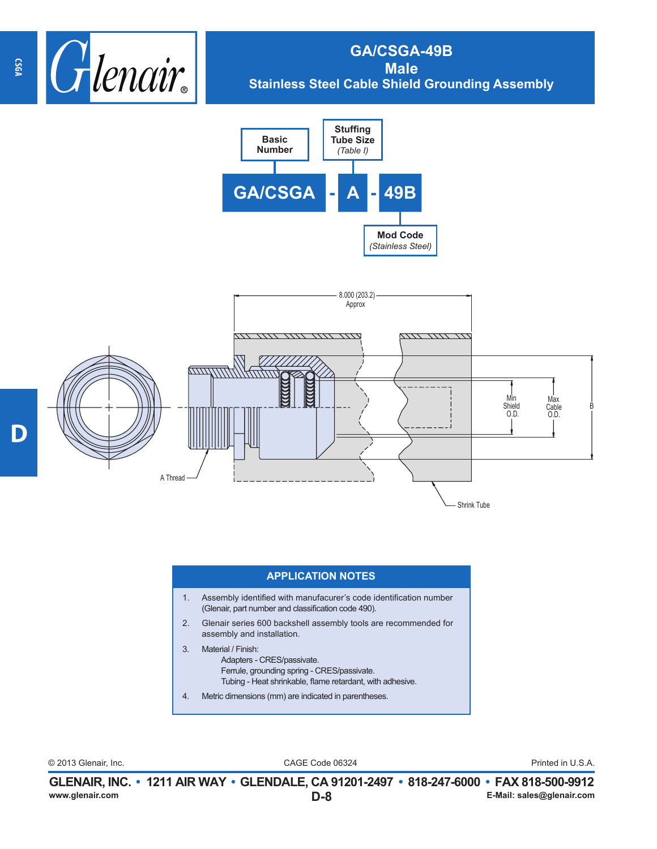

## **GA/CSGA-49B Male Stainless Steel Cable Shield Grounding Assembly**





## **APPLICATION NOTES**

- 1. Assembly identified with manufacurer's code identification number (Glenair, part number and classification code 490).
- 2. Glenair series 600 backshell assembly tools are recommended for assembly and installation.
- 3. Material / Finish: Adapters - CRES/passivate. Ferrule, grounding spring - CRES/passivate. Tubing - Heat shrinkable, flame retardant, with adhesive.
- 4. Metric dimensions (mm) are indicated in parentheses.

CAGE Code 06324 © 2013 Glenair, Inc. Printed in U.S.A.